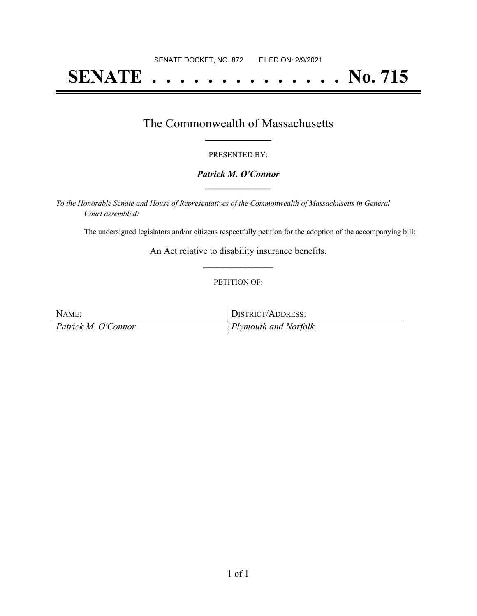# **SENATE . . . . . . . . . . . . . . No. 715**

### The Commonwealth of Massachusetts **\_\_\_\_\_\_\_\_\_\_\_\_\_\_\_\_\_**

#### PRESENTED BY:

#### *Patrick M. O'Connor* **\_\_\_\_\_\_\_\_\_\_\_\_\_\_\_\_\_**

*To the Honorable Senate and House of Representatives of the Commonwealth of Massachusetts in General Court assembled:*

The undersigned legislators and/or citizens respectfully petition for the adoption of the accompanying bill:

An Act relative to disability insurance benefits. **\_\_\_\_\_\_\_\_\_\_\_\_\_\_\_**

#### PETITION OF:

| NAME:               | DISTRICT/ADDRESS:           |
|---------------------|-----------------------------|
| Patrick M. O'Connor | <i>Plymouth and Norfolk</i> |